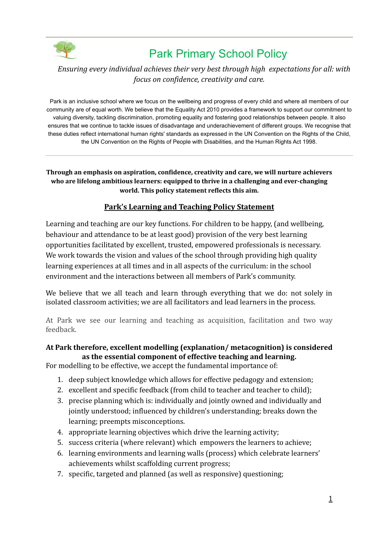

### *Ensuring every individual achieves their very best through high expectations for all: with focus on confidence, creativity and care.*

Park is an inclusive school where we focus on the wellbeing and progress of every child and where all members of our community are of equal worth. We believe that the Equality Act 2010 provides a framework to support our commitment to valuing diversity, tackling discrimination, promoting equality and fostering good relationships between people. It also ensures that we continue to tackle issues of disadvantage and underachievement of different groups. We recognise that these duties reflect international human rights' standards as expressed in the UN Convention on the Rights of the Child, the UN Convention on the Rights of People with Disabilities, and the Human Rights Act 1998.

**Through an emphasis on aspiration, confidence, creativity and care, we will nurture achievers who are lifelong ambitious learners: equipped to thrive in a challenging and ever-changing world. This policy statement reflects this aim.**

#### **Park's Learning and Teaching Policy Statement**

Learning and teaching are our key functions. For children to be happy, (and wellbeing, behaviour and attendance to be at least good) provision of the very best learning opportunities facilitated by excellent, trusted, empowered professionals is necessary. We work towards the vision and values of the school through providing high quality learning experiences at all times and in all aspects of the curriculum: in the school environment and the interactions between all members of Park's community.

We believe that we all teach and learn through everything that we do: not solely in isolated classroom activities; we are all facilitators and lead learners in the process.

At Park we see our learning and teaching as acquisition, facilitation and two way feedback.

#### **At Park therefore, excellent modelling (explanation/ metacognition) is considered as the essential component of effective teaching and learning.**

For modelling to be effective, we accept the fundamental importance of:

- 1. deep subject knowledge which allows for effective pedagogy and extension;
- 2. excellent and specific feedback (from child to teacher and teacher to child);
- 3. precise planning which is: individually and jointly owned and individually and jointly understood; influenced by children's understanding; breaks down the learning; preempts misconceptions.
- 4. appropriate learning objectives which drive the learning activity;
- 5. success criteria (where relevant) which empowers the learners to achieve;
- 6. learning environments and learning walls (process) which celebrate learners' achievements whilst scaffolding current progress;
- 7. specific, targeted and planned (as well as responsive) questioning;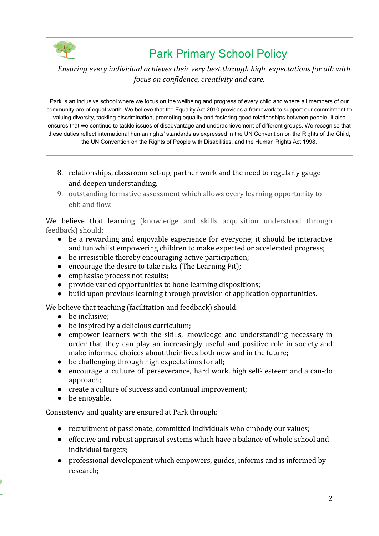

### *Ensuring every individual achieves their very best through high expectations for all: with focus on confidence, creativity and care.*

Park is an inclusive school where we focus on the wellbeing and progress of every child and where all members of our community are of equal worth. We believe that the Equality Act 2010 provides a framework to support our commitment to valuing diversity, tackling discrimination, promoting equality and fostering good relationships between people. It also ensures that we continue to tackle issues of disadvantage and underachievement of different groups. We recognise that these duties reflect international human rights' standards as expressed in the UN Convention on the Rights of the Child, the UN Convention on the Rights of People with Disabilities, and the Human Rights Act 1998.

- 8. relationships, classroom set-up, partner work and the need to regularly gauge and deepen understanding.
- 9. outstanding formative assessment which allows every learning opportunity to ebb and flow.

We believe that learning (knowledge and skills acquisition understood through feedback) should:

- be a rewarding and enjoyable experience for everyone; it should be interactive and fun whilst empowering children to make expected or accelerated progress;
- be irresistible thereby encouraging active participation;
- encourage the desire to take risks (The Learning Pit);
- emphasise process not results;
- provide varied opportunities to hone learning dispositions;
- build upon previous learning through provision of application opportunities.

We believe that teaching (facilitation and feedback) should:

- be inclusive:
- be inspired by a delicious curriculum;
- empower learners with the skills, knowledge and understanding necessary in order that they can play an increasingly useful and positive role in society and make informed choices about their lives both now and in the future;
- be challenging through high expectations for all;
- encourage a culture of perseverance, hard work, high self- esteem and a can-do approach;
- create a culture of success and continual improvement;
- be enjoyable.

Consistency and quality are ensured at Park through:

- recruitment of passionate, committed individuals who embody our values;
- effective and robust appraisal systems which have a balance of whole school and individual targets;
- professional development which empowers, guides, informs and is informed by research;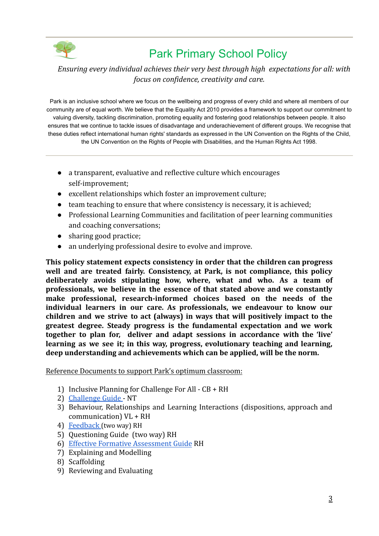

### *Ensuring every individual achieves their very best through high expectations for all: with focus on confidence, creativity and care.*

Park is an inclusive school where we focus on the wellbeing and progress of every child and where all members of our community are of equal worth. We believe that the Equality Act 2010 provides a framework to support our commitment to valuing diversity, tackling discrimination, promoting equality and fostering good relationships between people. It also ensures that we continue to tackle issues of disadvantage and underachievement of different groups. We recognise that these duties reflect international human rights' standards as expressed in the UN Convention on the Rights of the Child, the UN Convention on the Rights of People with Disabilities, and the Human Rights Act 1998.

- a transparent, evaluative and reflective culture which encourages self-improvement;
- excellent relationships which foster an improvement culture;
- team teaching to ensure that where consistency is necessary, it is achieved;
- Professional Learning Communities and facilitation of peer learning communities and coaching conversations;
- sharing good practice;
- an underlying professional desire to evolve and improve.

**This policy statement expects consistency in order that the children can progress well and are treated fairly. Consistency, at Park, is not compliance, this policy deliberately avoids stipulating how, where, what and who. As a team of professionals, we believe in the essence of that stated above and we constantly make professional, research-informed choices based on the needs of the individual learners in our care. As professionals, we endeavour to know our children and we strive to act (always) in ways that will positively impact to the greatest degree. Steady progress is the fundamental expectation and we work together to plan for, deliver and adapt sessions in accordance with the 'live' learning as we see it; in this way, progress, evolutionary teaching and learning, deep understanding and achievements which can be applied, will be the norm.**

Reference Documents to support Park's optimum classroom:

- 1) Inclusive Planning for Challenge For All  $CB + RH$
- 2) [Challenge Guide](https://docs.google.com/document/d/1kXbuRtfHFVEG6EppHf2rEXO3e1_38WIR44bgSXAhiZk/edit) NT
- 3) Behaviour, Relationships and Learning Interactions (dispositions, approach and communication) VL + RH
- 4) [Feedback](https://docs.google.com/document/d/1QG8Lmdg4f4pyEfT0AEfWbv5dW-t5NRo3NG8-ZLs3hcw/edit) (two way) RH
- 5) Questioning Guide (two way) RH
- 6) [Effective Formative Assessment Guide](https://docs.google.com/document/d/1XNXcqK6PT3uq9OqmcQ3fHcCHqfIAzcWtW7nyl8zN4KQ/edit?usp=sharing) RH
- 7) Explaining and Modelling
- 8) Scaffolding
- 9) Reviewing and Evaluating